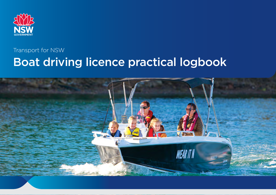

# Transport for NSW Boat driving licence practical logbook

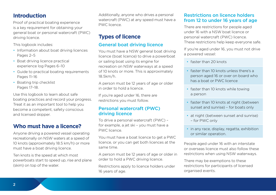# **Introduction**

Proof of practical boating experience is a key requirement for obtaining your general boat or personal watercraft (PWC) driving licence.

This logbook includes:

- Information about boat driving licences Pages 2–5
- Boat driving licence practical experience log Pages 6–10
- Guide to practical boating requirements Pages 11–16
- Boating trip checklist Pages 17–18.

Use this logbook to learn about safe boating practices and record your progress. Treat it as an important tool to help you become a competent, safety conscious and licensed skipper.

# **Who must have a licence?**

Anyone driving a powered vessel operating recreationally on NSW waters at a speed of 10 knots (approximately 18.5 km/h) or more must have a boat driving licence.

Ten knots is the speed at which most powerboats start to speed up, rise and plane (skim) on top of the water.

Additionally, anyone who drives a personal watercraft (PWC) at any speed must have a PWC licence.

# **Types of licence**

# General boat driving licence

You must have a NSW general boat driving licence (boat licence) to drive a powerboat or sailing boat using its engine for recreation on NSW waterways at a speed of 10 knots or more. This is approximately 18.5km/h.

A person must be 12 years of age or older in order to hold a licence.

If you're aged under 16, there are restrictions you must follow.

# Personal watercraft (PWC) driving licence

To drive a personal watercraft (PWC) – for example, a jet ski – you must have a PWC licence.

You must have a boat licence to get a PWC licence, or you can get both licences at the same time.

A person must be 12 years of age or older in order to hold a PWC driving licence.

Restrictions apply to licence holders under 16 years of age.

## Restrictions on licence holders from 12 to under 16 years of age

There are restrictions for people aged under 16 with a NSW boat licence or personal watercraft (PWC) licence. These restrictions help keep everyone safe.

If you're aged under 16, you must not drive a powered vessel:

- faster than 20 knots
- faster than 10 knots unless there's a person aged 16 or over on board who has a boat or PWC licence
- faster than 10 knots while towing a person
- faster than 10 knots at night (between sunset and sunrise) – for boats only
- at night (between sunset and sunrise) – for PWC only
- in any race, display, regatta, exhibition or similar operation.

People aged under 16 with an interstate or overseas licence must also follow these restrictions when using NSW waterways.

There may be exemptions to these restrictions for participants of licensed organised events.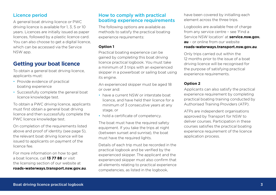## Licence period

A general boat driving licence or PWC driving licence is available for 1, 3, 5 or 10 years. Licences are initially issued as paper licences, followed by a plastic licence card. You can also choose to get a digital licence, which can be accessed via the Service NSW app.

# **Getting your boat licence**

To obtain a general boat driving licence, applicants must:

- Provide evidence of practical boating experience
- Successfully complete the general boat licence knowledge test.

To obtain a PWC driving licence, applicants must first obtain a general boat driving licence and then successfully complete the PWC licence knowledge test.

On completion of the requirements listed above and proof of identity (see page 5), the relevant boat driving licence will be issued to applicants on payment of the licence fee.

For more information on how to get a boat licence, call **13 77 88** or visit the licensing section of our website at **[roads-waterways.transport.nsw.gov.au](http://roads-waterways.transport.nsw.gov.au)**.

## How to comply with practical boating experience requirements

The following options are available as methods to satisfy the practical boating experience requirements:

#### **Option 1**

Practical boating experience can be gained by completing this boat driving licence practical logbook. You must take a minimum of 3 trips with an experienced skipper in a powerboat or sailing boat using its engine.

An experienced skipper must be aged 18 or over and:

- have a current NSW or interstate boat licence, and have held their licence for a minimum of 3 consecutive years at any stage, or
- hold a certificate of competency.

The boat must have the required safety equipment. If you take the trips at night (between sunset and sunrise), the boat must have the required lights.

Details of each trip must be recorded in the practical logbook and be verified by the experienced skipper. The applicant and the experienced skipper must also confirm that all elements relating to practical experience competencies, as listed in the logbook,

have been covered by initialling each element across the three trips.

Logbooks are available free of charge from any service centre – see 'Find a Service NSW location' at **[service.nsw.gov.](http://service.nsw.gov.au) [au](http://service.nsw.gov.au)** – or online from our website

#### **[roads-waterways.transport.nsw.gov.au](http://roads-waterways.transport.nsw.gov.au)**.

Only trips carried out within the 12 months prior to the issue of a boat driving licence will be recognised for the purpose of satisfying practical experience requirements.

#### **Option 2**

Applicants can also satisfy the practical experience requirement by completing practical boating training conducted by Authorised Training Providers (ATP).

ATPs are independent organisations approved by Transport for NSW to deliver courses. Participation in these courses satisfies the practical boating experience requirement of the licence application process.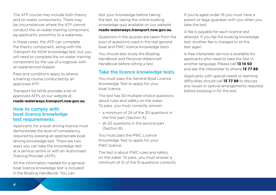The ATP course may include both theory and on-water components. There may be circumstances where the ATP cannot conduct the on-water training component, eg applicants' proximity to a waterway.

In these cases, the ATP can complete the theory component, along with the Transport for NSW knowledge test, but you will need to complete the on-water training component by the use of a logbook with an experienced skipper.

Fees and conditions apply to attend a training course conducted by an approved ATP.

Transport for NSW provides a list of approved ATPs on our website at **[roads-waterways.transport.nsw.gov.au](http://roads-waterways.transport.nsw.gov.au)**.

## How to comply with boat licence knowledge test requirements

Applicants for a boat driving licence must demonstrate the level of competency required by passing an appropriate boat driving knowledge test. There are two ways you can take the knowledge test: at a service centre or with an Authorised Training Provider (ATP).

All the information needed for a general boat licence knowledge test is included in the Boating Handbook. You can

test your knowledge before taking the test, by taking the online boating knowledge quiz available on our website

#### **[roads-waterways.transport.nsw.gov.au](http://roads-waterways.transport.nsw.gov.au)**.

Questions in the quizzes are taken from the pool of questions used in the real general boat and PWC licence knowledge tests.

You should also study the *Boating Handbook* and *Personal Watercraft Handbook* before sitting a test.

## Take the licence knowledge tests

You must pass the General Boat Licence Knowledge Test to apply for your boat licence.

The test has 50 multiple-choice questions about rules and safety on the water. To pass, you must correctly answer:

- a minimum of 24 of the 30 questions in the first part (Section A)
- all 20 questions in the second part (Section B).

You must pass the PWC Licence Knowledge Test to apply for your PWC licence.

The test is about PWC rules and safety on the water. To pass, you must answer a minimum of 12 of the 15 questions correctly. If you're aged under 16 you must have a parent or legal guardian with you when you take the test.

A fee is payable for each licence test attempt. If you fail the boating knowledge test, another fee is charged to sit the test again.

A free interpreter service is available for applicants who need to take the test in another language. Please call **13 14 50**  and ask the interpreter to phone **13 77 88**.

Applicants with special needs or learning difficulties should call **13 77 88** to discuss any issues or special arrangements required before booking in for the test.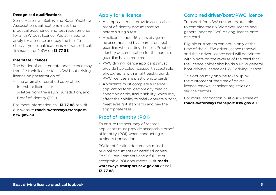#### **Recognised qualifications**

Some Australian Sailing and Royal Yachting Association qualifications meet the practical experience and test requirements for a NSW boat licence. You still need to apply for a licence and pay the fee. To check if your qualification is recognised, call Transport for NSW on **13 77 88**.

#### **Interstate licences**

The holder of an interstate boat licence may transfer their licence to a NSW boat driving licence on presentation of:

- The original or certified copy of the interstate licence, or
- A letter from the issuing jurisdiction, and
- Proof of identity (POI).

For more information call **13 77 88** or visit our website **[roads-waterways.transport.](http://roads-waterways.transport.nsw.gov.au) [nsw.gov.au](http://roads-waterways.transport.nsw.gov.au)**.

# Apply for a licence

- An applicant must provide acceptable proof of identity documentation before sitting a test
- Applicants under 16 years of age must be accompanied by a parent or legal guardian when sitting the test. Proof of identity documentation for the parent or guardian is also required
- PWC driving licence applicants must provide two colour passport acceptable photographs with a light background. PWC licences are plastic photo cards
- Applicants must complete a licence application form, declare any medical condition or physical disability which may affect their ability to safely operate a boat, meet eyesight standards and pay the appropriate fees.

# Proof of identity (POI)

To ensure the accuracy of records, applicants must provide acceptable proof of identity (POI) when conducting a business transaction.

POI identification documents must be original documents or certified copies. For POI requirements and a full list of acceptable POI documents, visit **[roads](http://roads-waterways.transport.nsw.gov.au)[waterways.transport.nsw.gov.au](http://roads-waterways.transport.nsw.gov.au)** or call

**13 77 88**.

## Combined driver/boat/PWC licence

Transport for NSW customers are able to combine their NSW driver licence and general boat or PWC driving licence onto one card.

Eligible customers can opt in only at the time of their NSW driver licence renewal and their driver licence card will be printed with a note on the reverse of the card that the licence holder also holds a NSW general boat driving licence or PWC driving licence.

This option may only be taken up by the customer at the time of driver licence renewal at select registries or service centres.

For more information, visit our website at **[roads-waterways.transport.nsw.gov.au](http://roads-waterways.transport.nsw.gov.au)**.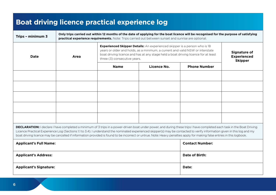# **Boat driving licence practical experience log**

| Only trips carried out within 12 months of the date of applying for the boat licence will be recognised for the purpose of satisfying<br>Trips - minimum 3<br>practical experience requirements. Note: Trips carried out between sunset and sunrise are optional.                                                                                                                                                                                                                                                              |      |                                                                                                                                                                                                                                                                                         |                        |                     |                                                      |
|--------------------------------------------------------------------------------------------------------------------------------------------------------------------------------------------------------------------------------------------------------------------------------------------------------------------------------------------------------------------------------------------------------------------------------------------------------------------------------------------------------------------------------|------|-----------------------------------------------------------------------------------------------------------------------------------------------------------------------------------------------------------------------------------------------------------------------------------------|------------------------|---------------------|------------------------------------------------------|
| Date                                                                                                                                                                                                                                                                                                                                                                                                                                                                                                                           | Area | <b>Experienced Skipper Details:</b> An experienced skipper is a person who is 18<br>years or older and holds, as a minimum, a current and valid NSW or interstate<br>boat driving licence and has at any stage held a boat driving licence for at least<br>three (3) consecutive years. |                        |                     | Signature of<br><b>Experienced</b><br><b>Skipper</b> |
|                                                                                                                                                                                                                                                                                                                                                                                                                                                                                                                                |      | <b>Name</b>                                                                                                                                                                                                                                                                             | Licence No.            | <b>Phone Number</b> |                                                      |
|                                                                                                                                                                                                                                                                                                                                                                                                                                                                                                                                |      |                                                                                                                                                                                                                                                                                         |                        |                     |                                                      |
|                                                                                                                                                                                                                                                                                                                                                                                                                                                                                                                                |      |                                                                                                                                                                                                                                                                                         |                        |                     |                                                      |
|                                                                                                                                                                                                                                                                                                                                                                                                                                                                                                                                |      |                                                                                                                                                                                                                                                                                         |                        |                     |                                                      |
|                                                                                                                                                                                                                                                                                                                                                                                                                                                                                                                                |      |                                                                                                                                                                                                                                                                                         |                        |                     |                                                      |
|                                                                                                                                                                                                                                                                                                                                                                                                                                                                                                                                |      |                                                                                                                                                                                                                                                                                         |                        |                     |                                                      |
| DECLARATION: I declare I have completed a minimum of 3 trips in a power-driven boat under power, and during these trips I have completed each task in the Boat Driving<br>Licence Practical Experience Log (Sections 1.1 to 3.4). I understand the nominated experienced skipper(s) may be contacted to verify information given in this log and my<br>boat driving licence may be cancelled if information provided is found to be incorrect or untrue. Note: Heavy penalties apply for making false entries in this logbook. |      |                                                                                                                                                                                                                                                                                         |                        |                     |                                                      |
| <b>Applicant's Full Name:</b>                                                                                                                                                                                                                                                                                                                                                                                                                                                                                                  |      |                                                                                                                                                                                                                                                                                         | <b>Contact Number:</b> |                     |                                                      |
| <b>Applicant's Address:</b>                                                                                                                                                                                                                                                                                                                                                                                                                                                                                                    |      |                                                                                                                                                                                                                                                                                         | Date of Birth:         |                     |                                                      |
| <b>Applicant's Signature:</b>                                                                                                                                                                                                                                                                                                                                                                                                                                                                                                  |      |                                                                                                                                                                                                                                                                                         | Date:                  |                     |                                                      |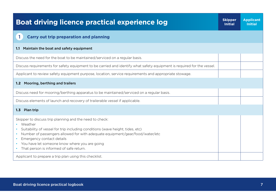| <b>Boat driving licence practical experience log</b>                                                                                                                                                                                                                                                                                                                        | <b>Skipper</b><br><b>Initial</b> | <b>Applicant</b><br><b>Initial</b> |
|-----------------------------------------------------------------------------------------------------------------------------------------------------------------------------------------------------------------------------------------------------------------------------------------------------------------------------------------------------------------------------|----------------------------------|------------------------------------|
| $\mathbf{1}$<br><b>Carry out trip preparation and planning</b>                                                                                                                                                                                                                                                                                                              |                                  |                                    |
| Maintain the boat and safety equipment<br>1.1                                                                                                                                                                                                                                                                                                                               |                                  |                                    |
| Discuss the need for the boat to be maintained/serviced on a regular basis.                                                                                                                                                                                                                                                                                                 |                                  |                                    |
| Discuss requirements for safety equipment to be carried and identify what safety equipment is required for the vessel.                                                                                                                                                                                                                                                      |                                  |                                    |
| Applicant to review safety equipment purpose, location, service requirements and appropriate stowage.                                                                                                                                                                                                                                                                       |                                  |                                    |
| Mooring, berthing and trailers<br>1.2 <sub>1</sub>                                                                                                                                                                                                                                                                                                                          |                                  |                                    |
| Discuss need for mooring/berthing apparatus to be maintained/serviced on a regular basis.                                                                                                                                                                                                                                                                                   |                                  |                                    |
| Discuss elements of launch and recovery of trailerable vessel if applicable.                                                                                                                                                                                                                                                                                                |                                  |                                    |
| 1.3 Plan trip                                                                                                                                                                                                                                                                                                                                                               |                                  |                                    |
| Skipper to discuss trip planning and the need to check:<br>• Weather<br>Suitability of vessel for trip including conditions (wave height, tides, etc)<br>Number of passengers allowed for with adequate equipment/gear/food/water/etc<br>Emergency contact details<br>You have let someone know where you are going<br>That person is informed of safe return.<br>$\bullet$ |                                  |                                    |
| Applicant to prepare a trip plan using this checklist.                                                                                                                                                                                                                                                                                                                      |                                  |                                    |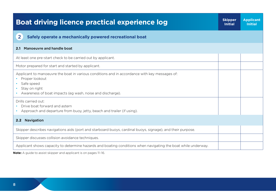| <b>Boat driving licence practical experience log</b>                                                                                                                                                          | <b>Skipper</b><br><b>Initial</b> | <b>Applicant</b><br><b>Initial</b> |
|---------------------------------------------------------------------------------------------------------------------------------------------------------------------------------------------------------------|----------------------------------|------------------------------------|
| $\overline{2}$<br>Safely operate a mechanically powered recreational boat                                                                                                                                     |                                  |                                    |
| Manoeuvre and handle boat<br>2.1                                                                                                                                                                              |                                  |                                    |
| At least one pre-start check to be carried out by applicant.                                                                                                                                                  |                                  |                                    |
| Motor prepared for start and started by applicant.                                                                                                                                                            |                                  |                                    |
| Applicant to manoeuvre the boat in various conditions and in accordance with key messages of:<br>Proper lookout<br>Safe speed<br>Stay on right<br>• Awareness of boat impacts (eq wash, noise and discharge). |                                  |                                    |
| Drills carried out:<br>Drive boat forward and astern<br>• Approach and departure from buoy, jetty, beach and trailer (if using).                                                                              |                                  |                                    |
| 2.2 Navigation                                                                                                                                                                                                |                                  |                                    |
| Skipper describes navigations aids (port and starboard buoys, cardinal buoys, signage), and their purpose.                                                                                                    |                                  |                                    |
| Skipper discusses collision avoidance techniques.                                                                                                                                                             |                                  |                                    |
| Applicant shows capacity to determine hazards and boating conditions when navigating the boat while underway.                                                                                                 |                                  |                                    |

**Note:** A guide to assist skipper and applicant is on pages 11–16.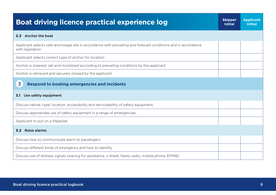| <b>Boat driving licence practical experience log</b>                                                                               | <b>Skipper</b><br><b>Initial</b> | <b>Applicant</b><br><b>Initial</b> |
|------------------------------------------------------------------------------------------------------------------------------------|----------------------------------|------------------------------------|
| 2.3 Anchor the boat                                                                                                                |                                  |                                    |
| Applicant selects safe anchorage site in accordance with prevailing and forecast conditions and in accordance<br>with legislation. |                                  |                                    |
| Applicant selects correct type of anchor for location.                                                                             |                                  |                                    |
| Anchor is lowered, set and monitored according to prevailing conditions by the applicant.                                          |                                  |                                    |
| Anchor is retrieved and securely stowed by the applicant.                                                                          |                                  |                                    |
| 3<br><b>Respond to boating emergencies and incidents</b>                                                                           |                                  |                                    |
| Use safety equipment<br>3.1                                                                                                        |                                  |                                    |
| Discuss nature, type, location, accessibility and serviceability of safety equipment.                                              |                                  |                                    |
| Discuss appropriate use of safety equipment in a range of emergencies.                                                             |                                  |                                    |
| Applicant to put on a lifejacket.                                                                                                  |                                  |                                    |
| Raise alarms<br>3.2                                                                                                                |                                  |                                    |
| Discuss how to communicate alarm to passengers.                                                                                    |                                  |                                    |
| Discuss different kinds of emergency and how to identify.                                                                          |                                  |                                    |
| Discuss use of distress signals (waving for assistance, v-sheet, flares, radio, mobile phone, EPIRB).                              |                                  |                                    |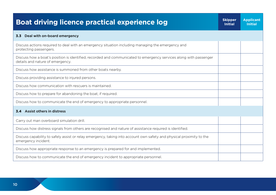| <b>Boat driving licence practical experience log</b>                                                                                                  | <b>Skipper</b><br><b>Initial</b> | <b>Applicant</b><br><b>Initial</b> |
|-------------------------------------------------------------------------------------------------------------------------------------------------------|----------------------------------|------------------------------------|
| Deal with on-board emergency<br>3.3                                                                                                                   |                                  |                                    |
| Discuss actions required to deal with an emergency situation including managing the emergency and<br>protecting passengers.                           |                                  |                                    |
| Discuss how a boat's position is identified, recorded and communicated to emergency services along with passenger<br>details and nature of emergency. |                                  |                                    |
| Discuss how assistance is summoned from other boats nearby.                                                                                           |                                  |                                    |
| Discuss providing assistance to injured persons.                                                                                                      |                                  |                                    |
| Discuss how communication with rescuers is maintained.                                                                                                |                                  |                                    |
| Discuss how to prepare for abandoning the boat, if required.                                                                                          |                                  |                                    |
| Discuss how to communicate the end of emergency to appropriate personnel.                                                                             |                                  |                                    |
| 3.4 Assist others in distress                                                                                                                         |                                  |                                    |
| Carry out man overboard simulation drill.                                                                                                             |                                  |                                    |
| Discuss how distress signals from others are recognised and nature of assistance required is identified.                                              |                                  |                                    |
| Discuss capability to safely assist or relay emergency, taking into account own safety and physical proximity to the<br>emergency incident.           |                                  |                                    |
| Discuss how appropriate response to an emergency is prepared for and implemented.                                                                     |                                  |                                    |
| Discuss how to communicate the end of emergency incident to appropriate personnel.                                                                    |                                  |                                    |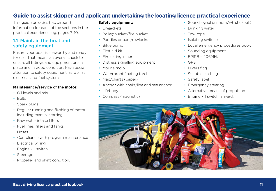# **Guide to assist skipper and applicant undertaking the boating licence practical experience**

This guide provides background information for each of the sections in the practical experience log, pages 7–10.

## 11 Maintain the boat and safety equipment

Ensure your boat is seaworthy and ready for use. That means an overall check to ensure all fittings and equipment are in place and in good condition. Pay special attention to safety equipment, as well as electrical and fuel systems.

#### **Maintenance/service of the motor:**

- Oil levels and mix
- Belts
- Spark plugs
- Regular running and flushing of motor including manual starting
- Raw water intake filters
- Fuel lines, fillers and tanks
- Hoses
- Compliance with program maintenance
- Electrical wiring
- Engine kill switch
- Steerage
- Propeller and shaft condition.

#### **Safety equipment:**

- Lifejackets
- Bailer/bucket/fire bucket
- Paddles or oars/rowlocks
- Bilge pump
- First aid kit
- Fire extinguisher
- Distress signalling equipment
- Marine radio
- Waterproof floating torch
- Map/charts (paper)
- Anchor with chain/line and sea anchor
- Lifebuoy
- Compass (magnetic)
- Sound signal (air horn/whistle/bell)
- Drinking water
- Tow rope
- Isolating switches
- Local emergency procedures book
- Sounding equipment
- EPIRB 406MHz
- GPS
- Divers flag
- Suitable clothing
- Safety label
- Emergency steering
- Alternative means of propulsion
- Engine kill switch lanyard.

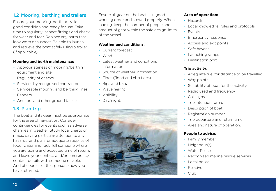# 1.2 Mooring, berthing and trailers

Ensure your mooring, berth or trailer is in good condition and ready for use. Take time to regularly inspect fittings and check for wear and tear. Replace any parts that look worn or suspect. Be able to launch and retrieve the boat safely using a trailer (if applicable).

#### **Mooring and berth maintenance:**

- Appropriateness of mooring/berthing equipment and site
- Regularity of checks
- Services by recognised contractor
- Serviceable mooring and berthing lines
- Fenders
- Anchors and other ground tackle.

# 1.3 Plan trip

The boat and its gear must be appropriate for the area of navigation. Consider contingencies for events such as adverse changes in weather. Study local charts or maps, paying particular attention to any hazards, and plan for adequate supplies of food, water and fuel. Tell someone where you are going and expected time of return, and leave your contact and/or emergency contact details with someone reliable. And of course, let that person know you have returned.

Ensure all gear on the boat is in good working order and stowed properly. When loading, keep the number of people and amount of gear within the safe design limits of the vessel.

#### **Weather and conditions:**

- Current forecast
- Wind
- Latest weather and conditions information
- Source of weather information
- Tides (flood and ebb tides)
- Rips and bars
- Wave height
- Visibility
- Day/night.



#### **Area of operation:**

- Hazards
- Local knowledge, rules and protocols
- Events
- Emergency response
- Access and exit points
- Safe havens
- Launching ramps
- Destination port.

#### **Trip activity:**

- Adequate fuel for distance to be travelled
- Way points
- Suitability of boat for the activity
- Radio used and frequency
- Call signs
- Trip intention forms
- Description of boat
- Registration number
- Trip departure and return time
- Area and nature of operation.

#### **People to advise:**

- Family member
- Neighbour(s)
- Water Police
- Recognised marine rescue services
- Local police
- Relative
- Club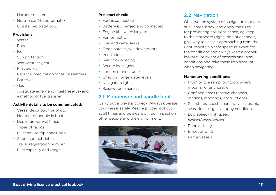- Harbour master
- Note in car (if appropriate)
- Coastal radio stations.

#### **Provisions:**

- Water
- Food
- Ice
- Sun protection
- Wet weather gear
- First aid kit
- Personal medication for all passengers
- Batteries
- Gas
- Adequate emergency fuel (reserve) and a method of fuel transfer.

#### **Activity details to be communicated:**

- Vessel description or photo
- Number of people in boat
- Departure/arrival times
- Types of radios
- Must advise trip conclusion
- Shore contact details
- Trailer registration number
- Fuel capacity and usage.

#### **Pre-start check:**

- Fuel is connected
- Battery is charged and connected
- Engine kill switch lanyard
- Fumes, petrol
- Fuel and water leaks
- Open hatches/windows/doors
- Ventilation
- Sea-cock opening
- Secure loose gear
- Turn on marine radio
- Checking bilge water levels
- Navigation lights
- Raising radio aerials.

# 2.1 Manoeuvre and handle boat

Carry out a pre-start check. Always operate your vessel safely. Keep a proper lookout at all times and be aware of your impact on other people and the environment.



# 2.2 Navigation

Observe the system of navigation markers at all times. Know and apply the rules for preventing collisions at sea, eg keep to the starboard (right) side of channels, give way to vessels approaching from the right, maintain a safe speed relevant for the conditions and always keep a proper lookout. Be aware of hazards and local conditions and take these into account when navigating.

#### **Manoeuvring conditions:**

- From or to a ramp, pontoon, wharf, mooring or anchorage
- Confined areas (narrow channels) marinas, moorings, obstructions)
- Sea-states: coastal bars, waves, rips, high seas, tidal surges, choppy conditions
- Low speed/high speed
- Wakes/wash/waves
- Poor visibility
- Effect of wind
- Large vessels.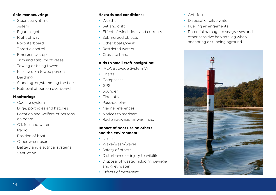#### **Safe manoeuvring:**

- Steer straight line
- Astern
- Figure-eight
- Right of way
- Port-starboard
- Throttle control
- Emergency stop
- Trim and stability of vessel
- Towing or being towed
- Picking up a towed person
- Berthing
- Standing-on/stemming the tide
- Retrieval of person overboard.

#### **Monitoring:**

- Cooling system
- Bilge, portholes and hatches
- Location and welfare of persons on board
- Oil, fuel and water
- Radio
- Position of boat
- Other water users
- Battery and electrical systems
- Ventilation.

#### **Hazards and conditions:**

- Weather
- Set and drift
- Effect of wind, tides and currents
- Submerged objects
- Other boats/wash
- Restricted waters
- Crossing bars.

#### **Aids to small craft navigation:**

- IALA Buoyage System "A"
- Charts
- Compasses
- GPS
- Sounder
- Tide tables
- Passage plan
- Marine references
- Notices to mariners
- Radio navigational warnings.

#### **Impact of boat use on others and the environment:**

- Noise
- Wake/wash/waves
- Safety of others
- Disturbance or injury to wildlife
- Disposal of waste, including sewage and grey water
- Effects of detergent
- Anti-foul
- Disposal of bilge water
- Fuelling arrangements
- Potential damage to seagrasses and other sensitive habitats, eg when anchoring or running aground.

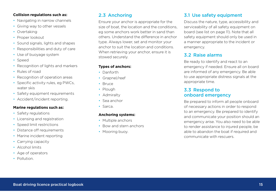#### **Collision regulations such as:**

- Navigating in narrow channels
- Giving way to other vessels
- Overtaking
- Proper lookout
- Sound signals, lights and shapes
- Responsibilities and duty of care
- Use of buoyage system
- Speed
- Recognition of lights and markers
- Rules of road
- Recognition of operation areas
- Specific activity rules, eg PWCs, water skis
- Safety equipment requirements
- Accident/incident reporting.

#### **Marine regulations such as:**

- Safety regulations
- Licensing and registration
- Speed limit restrictions
- Distance off requirements
- Marine incident reporting
- Carrying capacity
- Alcohol limits
- Age of operators
- Pollution.

# 2.3 Anchoring

Ensure your anchor is appropriate for the size of boat, the location and the conditions eg some anchors work better in sand than others. Understand the difference in anchor type. Always lower, set and monitor your anchor to suit the location and conditions. When retrieving your anchor, ensure it is stowed securely.

## **Types of anchors:**

- Danforth
- Grapnel/reef
- Bruce
- Plough
- Admiralty
- Sea anchor
- Sarca.

#### **Anchoring systems:**

- Multiple anchors
- Bow and stern anchors
- Mooring buoy.

# 3.1 Use safety equipment

Discuss the nature, type, accessibility and serviceability of all safety equipment on board (see list on page 11). Note that all safety equipment should only be used in a manner appropriate to the incident or emergency.

# 3.2 Raise alarms

Be ready to identify and react to an emergency if needed. Ensure all on board are informed of any emergency. Be able to use appropriate distress signals at the appropriate time.

### 3.3 Respond to onboard emergency

Be prepared to inform all people onboard of necessary actions in order to respond to an emergency. Be prepared to identify and communicate your position should an emergency arise. You also need to be able to render assistance to injured people, be able to abandon the boat if required and communicate with rescuers.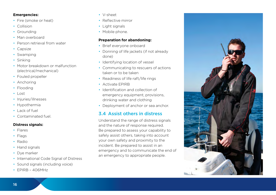#### **Emergencies:**

- Fire (smoke or heat)
- Collision
- Grounding
- Man overboard
- Person retrieval from water
- Capsize
- Swamping
- Sinking
- Motor breakdown or malfunction (electrical/mechanical)
- Fouled propeller
- Anchoring
- Flooding
- Lost
- Injuries/illnesses
- Hypothermia
- Lack of fuel
- Contaminated fuel.

#### **Distress signals:**

- Flares
- Flags
- Radio
- Hand signals
- Dye marker
- International Code Signal of Distress
- Sound signals (including voice)
- EPIRB 406MHz
- V-sheet
- Reflective mirror
- Light signals
- Mobile phone.

#### **Preparation for abandoning:**

- Brief everyone onboard
- Donning of life jackets (if not already done)
- Identifying location of vessel
- Communicating to rescuers of actions taken or to be taken
- Readiness of life raft/life rings
- Activate EPIRB
- Identification and collection of emergency equipment, provisions, drinking water and clothing
- Deployment of anchor or sea anchor.

## 3.4 Assist others in distress

Understand the range of distress signals and the nature of response required. Be prepared to assess your capability to safely assist others, taking into account your own safety and proximity to the incident. Be prepared to assist in an emergency and to communicate the end of an emergency to appropriate people.

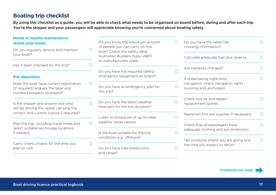# **Boating trip checklist**

By using this checklist as a guide, you will be able to check what needs to be organised on board before, during and after each trip. You're the skipper and your passengers will appreciate knowing you're concerned about boating safety.

| Home or marina maintenance                                                                                    |   |                                                                                                     |   |                                                                        |  |
|---------------------------------------------------------------------------------------------------------------|---|-----------------------------------------------------------------------------------------------------|---|------------------------------------------------------------------------|--|
| (know your boat)                                                                                              |   | Do you know the maximum amount                                                                      |   | Do you have the latest bar                                             |  |
| Do you regularly service and maintain<br>your boat?                                                           |   | of people you can carry on this<br>boat? Check the safety label,<br>Australian Builders Plate (ABP) |   | crossing information?<br>Calculate adequate fuel plus reserve.         |  |
| Has it been checked for this trip?                                                                            |   | or manufacturers plate.                                                                             |   |                                                                        |  |
|                                                                                                               |   | Do you have the required safety/                                                                    |   | Are batteries charged?                                                 |  |
| <b>Pre-departure</b>                                                                                          |   | emergency equipment on board?                                                                       |   | If undertaking night-time                                              |  |
| Does the boat have current registration<br>(if required) and are the label and<br>numbers properly displayed? |   | Do you have an emergency plan for<br>this trip?                                                     |   | navigation, check navigation lights<br>(running and anchored).         |  |
| Is the skipper and anyone else who<br>will be driving the vessel carrying the                                 |   | Do you have the latest weather<br>forecasts for the trip duration?                                  |   | Check tool kit and repair/<br>replacement spares.                      |  |
| correct and current licence if required?                                                                      |   | Listen to broadcast of up-to-date                                                                   | L | Replenish first aid supplies if necessary.                             |  |
| Plan the trip, including travel times and                                                                     | П | weather observations.                                                                               |   | Check that all passengers have                                         |  |
| select suitable anchorage locations<br>if needed.                                                             |   | Is the boat suitable for the trip                                                                   |   | adequate clothing and sun protection.                                  |  |
| Carry charts (maps) for the area you<br>plan to visit.                                                        |   | conditions e.g. offshore?                                                                           |   | Tell someone where you are going and<br>the time you expect to return. |  |
|                                                                                                               |   | Do you have tidal predictions                                                                       |   |                                                                        |  |
|                                                                                                               |   | and range?                                                                                          |   |                                                                        |  |

**Continued over page**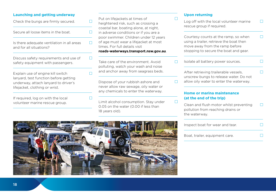#### **Launching and getting underway**

| Check the bungs are firmly secured.                                                                                                                  |  |
|------------------------------------------------------------------------------------------------------------------------------------------------------|--|
| Secure all loose items in the boat.                                                                                                                  |  |
| Is there adequate ventilation in all areas<br>and for all situations?                                                                                |  |
| Discuss safety requirements and use of<br>safety equipment with passengers.                                                                          |  |
| Explain use of engine kill switch<br>lanyard, test function before getting<br>underway, attach lanyard to driver's<br>lifejacket, clothing or wrist. |  |
| If required, log on with the local<br>volunteer marine rescue group.                                                                                 |  |
|                                                                                                                                                      |  |

Put on lifejackets at times of heightened risk, such as crossing a coastal bar, boating alone, at night, in adverse conditions or if you are a poor swimmer. Children under 12 years of age must wear a lifejacket at most times. For full details visit

#### **roads-waterways.transport.nsw.gov.au**.

Take care of the environment. Avoid polluting, watch your wash and noise and anchor away from seagrass beds.

Dispose of your rubbish ashore and never allow raw sewage, oily water or any chemicals to enter the waterway.

Limit alcohol consumption. Stay under 0.05 on the water (0.00 if less than 18 years old).

#### **Upon returning**

| Log off with the local volunteer marine<br>rescue group if required.                                                                                       |  |
|------------------------------------------------------------------------------------------------------------------------------------------------------------|--|
| Courtesy counts at the ramp, so when<br>using a trailer, retrieve the boat then<br>move away from the ramp before<br>stopping to secure the boat and gear. |  |
| Isolate all battery power sources.                                                                                                                         |  |
| After retrieving trailerable vessels,<br>unscrew bungs to release water. Do not<br>allow oily water to enter the waterway.                                 |  |
| <b>Home or marina maintenance</b><br>(at the end of the trip)                                                                                              |  |
| Clean and flush motor whilst preventing<br>pollution from reaching drains or<br>the waterway.                                                              |  |
| Inspect boat for wear and tear.                                                                                                                            |  |
| Boat, trailer, equipment care.                                                                                                                             |  |

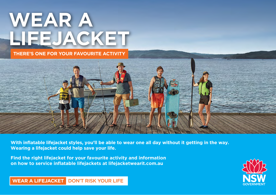

**THERE'S ONE FOR YOUR FAVOURITE ACTIVITY**



**With inflatable lifejacket styles, you'll be able to wear one all day without it getting in the way. Wearing a lifejacket could help save your life.** 

**Find the right lifejacket for your favourite activity and information on how to service inflatable lifejackets at lifejacketwearit.com.au**



**WEAR A LIFEJACKET** DON'T RISK YOUR LIFE